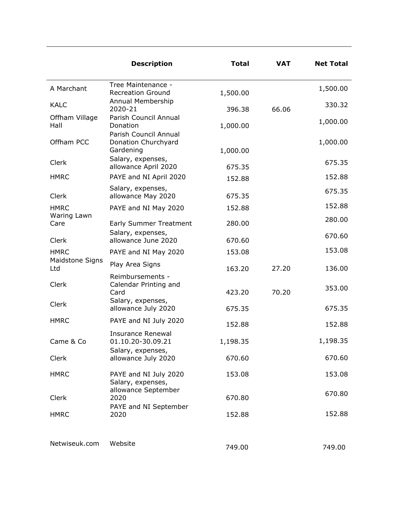|                        | <b>Description</b>                                         | <b>Total</b> | <b>VAT</b> | <b>Net Total</b> |
|------------------------|------------------------------------------------------------|--------------|------------|------------------|
| A Marchant             | Tree Maintenance -<br><b>Recreation Ground</b>             | 1,500.00     |            | 1,500.00         |
| <b>KALC</b>            | Annual Membership<br>2020-21                               | 396.38       | 66.06      | 330.32           |
| Offham Village<br>Hall | Parish Council Annual<br>Donation<br>Parish Council Annual | 1,000.00     |            | 1,000.00         |
| Offham PCC             | Donation Churchyard<br>Gardening                           | 1,000.00     |            | 1,000.00         |
| Clerk                  | Salary, expenses,<br>allowance April 2020                  | 675.35       |            | 675.35           |
| <b>HMRC</b>            | PAYE and NI April 2020                                     | 152.88       |            | 152.88           |
| Clerk                  | Salary, expenses,<br>allowance May 2020                    | 675.35       |            | 675.35           |
| <b>HMRC</b>            | PAYE and NI May 2020                                       | 152.88       |            | 152.88           |
| Waring Lawn<br>Care    | <b>Early Summer Treatment</b>                              | 280.00       |            | 280.00           |
| Clerk                  | Salary, expenses,<br>allowance June 2020                   | 670.60       |            | 670.60           |
| <b>HMRC</b>            | PAYE and NI May 2020                                       | 153.08       |            | 153.08           |
| Maidstone Signs<br>Ltd | Play Area Signs                                            | 163.20       | 27.20      | 136.00           |
| Clerk                  | Reimbursements -<br>Calendar Printing and<br>Card          | 423.20       | 70.20      | 353.00           |
| Clerk                  | Salary, expenses,<br>allowance July 2020                   | 675.35       |            | 675.35           |
| <b>HMRC</b>            | PAYE and NI July 2020                                      | 152.88       |            | 152.88           |
| Came & Co              | <b>Insurance Renewal</b><br>01.10.20-30.09.21              | 1,198.35     |            | 1,198.35         |
| Clerk                  | Salary, expenses,<br>allowance July 2020                   | 670.60       |            | 670.60           |
| <b>HMRC</b>            | PAYE and NI July 2020<br>Salary, expenses,                 | 153.08       |            | 153.08           |
| Clerk                  | allowance September<br>2020                                | 670.80       |            | 670.80           |
| <b>HMRC</b>            | PAYE and NI September<br>2020                              | 152.88       |            | 152.88           |
| Netwiseuk.com          | Website                                                    | 749.00       |            | 749.00           |